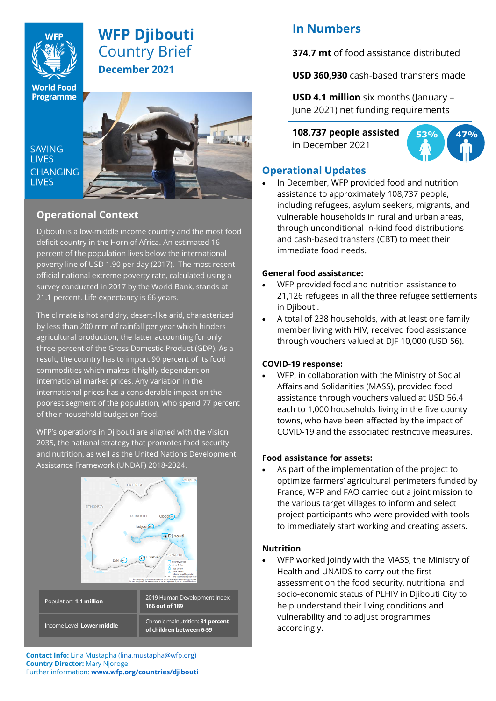

# **WFP Djibouti**  Country Brief **December 2021**

**World Food Programme** 

•

**SAVING LIVES CHANGING LIVES** 



# **Operational Context**

poverty line of USD 1.90 per day (2017). The most recent Djibouti is a low-middle income country and the most food deficit country in the Horn of Africa. An estimated 16 percent of the population lives below the international official national extreme poverty rate, calculated using a survey conducted in 2017 by the World Bank, stands at 21.1 percent. Life expectancy is 66 years.

The climate is hot and dry, desert-like arid, characterized by less than 200 mm of rainfall per year which hinders agricultural production, the latter accounting for only three percent of the Gross Domestic Product (GDP). As a result, the country has to import 90 percent of its food commodities which makes it highly dependent on international market prices. Any variation in the international prices has a considerable impact on the poorest segment of the population, who spend 77 percent of their household budget on food.

WFP's operations in Djibouti are aligned with the Vision 2035, the national strategy that promotes food security and nutrition, as well as the United Nations Development Assistance Framework (UNDAF) 2018-2024.



# **In Numbers**

**374.7 mt** of food assistance distributed

**USD 360,930** cash-based transfers made

**USD 4.1 million** six months (January – June 2021) net funding requirements

**108,737 people assisted**  in December 2021



# **Operational Updates**

• In December, WFP provided food and nutrition assistance to approximately 108,737 people, including refugees, asylum seekers, migrants, and vulnerable households in rural and urban areas, through unconditional in-kind food distributions and cash-based transfers (CBT) to meet their immediate food needs.

### **General food assistance:**

- WFP provided food and nutrition assistance to 21,126 refugees in all the three refugee settlements in Djibouti.
- A total of 238 households, with at least one family member living with HIV, received food assistance through vouchers valued at DJF 10,000 (USD 56).

## **COVID-19 response:**

• WFP, in collaboration with the Ministry of Social Affairs and Solidarities (MASS), provided food assistance through vouchers valued at USD 56.4 each to 1,000 households living in the five county towns, who have been affected by the impact of COVID-19 and the associated restrictive measures.

## **Food assistance for assets:**

As part of the implementation of the project to optimize farmers' agricultural perimeters funded by France, WFP and FAO carried out a joint mission to the various target villages to inform and select project participants who were provided with tools to immediately start working and creating assets.

### **Nutrition**

• WFP worked jointly with the MASS, the Ministry of Health and UNAIDS to carry out the first assessment on the food security, nutritional and socio-economic status of PLHIV in Djibouti City to help understand their living conditions and vulnerability and to adjust programmes accordingly.

**Contact Info:** Lina Mustapha [\(lina.mustapha@wfp.org\)](mailto:lina.mustapha@wfp.org) **Country Director:** Mary Njoroge Further information: **[www.wfp.org/countries/djibouti](http://www.wfp.org/countries/djibouti)**